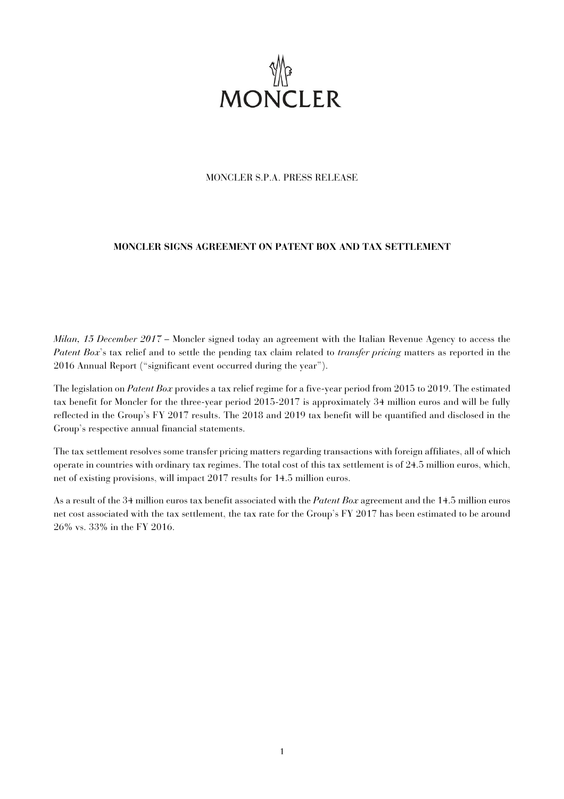

# MONCLER S.P.A. PRESS RELEASE

# **MONCLER SIGNS AGREEMENT ON PATENT BOX AND TAX SETTLEMENT**

*Milan, 15 December 2017* – Moncler signed today an agreement with the Italian Revenue Agency to access the *Patent Box*'s tax relief and to settle the pending tax claim related to *transfer pricing* matters as reported in the 2016 Annual Report ("significant event occurred during the year").

The legislation on *Patent Box* provides a tax relief regime for a five-year period from 2015 to 2019. The estimated tax benefit for Moncler for the three-year period 2015-2017 is approximately 34 million euros and will be fully reflected in the Group's FY 2017 results. The 2018 and 2019 tax benefit will be quantified and disclosed in the Group's respective annual financial statements.

The tax settlement resolves some transfer pricing matters regarding transactions with foreign affiliates, all of which operate in countries with ordinary tax regimes. The total cost of this tax settlement is of 24.5 million euros, which, net of existing provisions, will impact 2017 results for 14.5 million euros.

As a result of the 34 million euros tax benefit associated with the *Patent Box* agreement and the 14.5 million euros net cost associated with the tax settlement, the tax rate for the Group's FY 2017 has been estimated to be around 26% vs. 33% in the FY 2016.